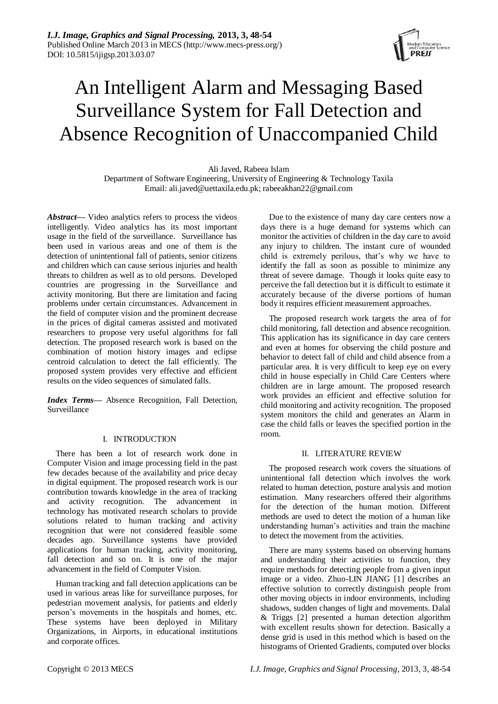

# An Intelligent Alarm and Messaging Based Surveillance System for Fall Detection and Absence Recognition of Unaccompanied Child

Ali Javed, Rabeea Islam Department of Software Engineering, University of Engineering & Technology Taxila Email: ali.javed@uettaxila.edu.pk; rabeeakhan22@gmail.com

*Abstract***—** Video analytics refers to process the videos intelligently. Video analytics has its most important usage in the field of the surveillance. Surveillance has been used in various areas and one of them is the detection of unintentional fall of patients, senior citizens and children which can cause serious injuries and health threats to children as well as to old persons. Developed countries are progressing in the Surveillance and activity monitoring. But there are limitation and facing problems under certain circumstances. Advancement in the field of computer vision and the prominent decrease in the prices of digital cameras assisted and motivated researchers to propose very useful algorithms for fall detection. The proposed research work is based on the combination of motion history images and eclipse centroid calculation to detect the fall efficiently. The proposed system provides very effective and efficient results on the video sequences of simulated falls.

*Index Terms***—** Absence Recognition, Fall Detection, Surveillance

# I. INTRODUCTION

There has been a lot of research work done in Computer Vision and image processing field in the past few decades because of the availability and price decay in digital equipment. The proposed research work is our contribution towards knowledge in the area of tracking and activity recognition. The advancement in technology has motivated research scholars to provide solutions related to human tracking and activity recognition that were not considered feasible some decades ago. Surveillance systems have provided applications for human tracking, activity monitoring, fall detection and so on. It is one of the major advancement in the field of Computer Vision.

Human tracking and fall detection applications can be used in various areas like for surveillance purposes, for pedestrian movement analysis, for patients and elderly person"s movements in the hospitals and homes, etc. These systems have been deployed in Military Organizations, in Airports, in educational institutions and corporate offices.

Due to the existence of many day care centers now a days there is a huge demand for systems which can monitor the activities of children in the day care to avoid any injury to children. The instant cure of wounded child is extremely perilous, that's why we have to identify the fall as soon as possible to minimize any threat of severe damage. Though it looks quite easy to perceive the fall detection but it is difficult to estimate it accurately because of the diverse portions of human body it requires efficient measurement approaches.

The proposed research work targets the area of for child monitoring, fall detection and absence recognition. This application has its significance in day care centers and even at homes for observing the child posture and behavior to detect fall of child and child absence from a particular area. It is very difficult to keep eye on every child in house especially in Child Care Centers where children are in large amount. The proposed research work provides an efficient and effective solution for child monitoring and activity recognition. The proposed system monitors the child and generates an Alarm in case the child falls or leaves the specified portion in the room.

### II. LITERATURE REVIEW

The proposed research work covers the situations of unintentional fall detection which involves the work related to human detection, posture analysis and motion estimation. Many researchers offered their algorithms for the detection of the human motion. Different methods are used to detect the motion of a human like understanding human"s activities and train the machine to detect the movement from the activities.

There are many systems based on observing humans and understanding their activities to function, they require methods for detecting people from a given input image or a video. Zhuo-LIN JIANG [1] describes an effective solution to correctly distinguish people from other moving objects in indoor environments, including shadows, sudden changes of light and movements. Dalal & Triggs [2] presented a human detection algorithm with excellent results shown for detection. Basically a dense grid is used in this method which is based on the histograms of Oriented Gradients, computed over blocks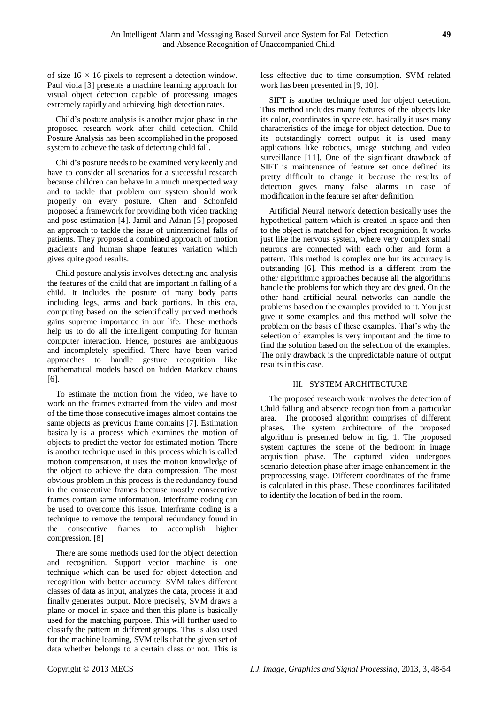of size 16 *×* 16 pixels to represent a detection window. Paul viola [3] presents a machine learning approach for visual object detection capable of processing images extremely rapidly and achieving high detection rates.

Child"s posture analysis is another major phase in the proposed research work after child detection. Child Posture Analysis has been accomplished in the proposed system to achieve the task of detecting child fall.

Child"s posture needs to be examined very keenly and have to consider all scenarios for a successful research because children can behave in a much unexpected way and to tackle that problem our system should work properly on every posture. Chen and Schonfeld proposed a framework for providing both video tracking and pose estimation [4]. Jamil and Adnan [5] proposed an approach to tackle the issue of unintentional falls of patients. They proposed a combined approach of motion gradients and human shape features variation which gives quite good results.

Child posture analysis involves detecting and analysis the features of the child that are important in falling of a child. It includes the posture of many body parts including legs, arms and back portions. In this era, computing based on the scientifically proved methods gains supreme importance in our life. These methods help us to do all the intelligent computing for human computer interaction. Hence, postures are ambiguous and incompletely specified. There have been varied approaches to handle gesture recognition like mathematical models based on hidden Markov chains [6].

To estimate the motion from the video, we have to work on the frames extracted from the video and most of the time those consecutive images almost contains the same objects as previous frame contains [7]. Estimation basically is a process which examines the motion of objects to predict the vector for estimated motion. There is another technique used in this process which is called motion compensation, it uses the motion knowledge of the object to achieve the data compression. The most obvious problem in this process is the redundancy found in the consecutive frames because mostly consecutive frames contain same information. Interframe coding can be used to overcome this issue. Interframe coding is a technique to remove the temporal redundancy found in the consecutive frames to accomplish higher compression. [8]

There are some methods used for the object detection and recognition. Support vector machine is one technique which can be used for object detection and recognition with better accuracy. SVM takes different classes of data as input, analyzes the data, process it and finally generates output. More precisely, SVM draws a plane or model in space and then this plane is basically used for the matching purpose. This will further used to classify the pattern in different groups. This is also used for the machine learning, SVM tells that the given set of data whether belongs to a certain class or not. This is less effective due to time consumption. SVM related work has been presented in [9, 10].

SIFT is another technique used for object detection. This method includes many features of the objects like its color, coordinates in space etc. basically it uses many characteristics of the image for object detection. Due to its outstandingly correct output it is used many applications like robotics, image stitching and video surveillance [11]. One of the significant drawback of SIFT is maintenance of feature set once defined its pretty difficult to change it because the results of detection gives many false alarms in case of modification in the feature set after definition.

Artificial Neural network detection basically uses the hypothetical pattern which is created in space and then to the object is matched for object recognition. It works just like the nervous system, where very complex small neurons are connected with each other and form a pattern. This method is complex one but its accuracy is outstanding [6]. This method is a different from the other algorithmic approaches because all the algorithms handle the problems for which they are designed. On the other hand artificial neural networks can handle the problems based on the examples provided to it. You just give it some examples and this method will solve the problem on the basis of these examples. That"s why the selection of examples is very important and the time to find the solution based on the selection of the examples. The only drawback is the unpredictable nature of output results in this case.

## III. SYSTEM ARCHITECTURE

The proposed research work involves the detection of Child falling and absence recognition from a particular area. The proposed algorithm comprises of different phases. The system architecture of the proposed algorithm is presented below in fig. 1. The proposed system captures the scene of the bedroom in image acquisition phase. The captured video undergoes scenario detection phase after image enhancement in the preprocessing stage. Different coordinates of the frame is calculated in this phase. These coordinates facilitated to identify the location of bed in the room.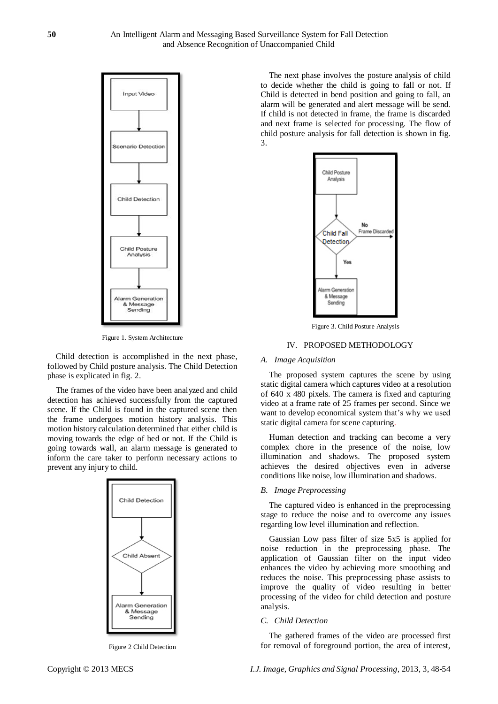

Figure 1. System Architecture

Child detection is accomplished in the next phase, followed by Child posture analysis. The Child Detection phase is explicated in fig. 2.

The frames of the video have been analyzed and child detection has achieved successfully from the captured scene. If the Child is found in the captured scene then the frame undergoes motion history analysis. This motion history calculation determined that either child is moving towards the edge of bed or not. If the Child is going towards wall, an alarm message is generated to inform the care taker to perform necessary actions to prevent any injury to child.



Figure 2 Child Detection

The next phase involves the posture analysis of child to decide whether the child is going to fall or not. If Child is detected in bend position and going to fall, an alarm will be generated and alert message will be send. If child is not detected in frame, the frame is discarded and next frame is selected for processing. The flow of child posture analysis for fall detection is shown in fig. 3.



Figure 3. Child Posture Analysis

# IV. PROPOSED METHODOLOGY

#### *A. Image Acquisition*

The proposed system captures the scene by using static digital camera which captures video at a resolution of 640 x 480 pixels. The camera is fixed and capturing video at a frame rate of 25 frames per second. Since we want to develop economical system that's why we used static digital camera for scene capturing.

Human detection and tracking can become a very complex chore in the presence of the noise, low illumination and shadows. The proposed system achieves the desired objectives even in adverse conditions like noise, low illumination and shadows.

#### *B. Image Preprocessing*

The captured video is enhanced in the preprocessing stage to reduce the noise and to overcome any issues regarding low level illumination and reflection.

Gaussian Low pass filter of size 5x5 is applied for noise reduction in the preprocessing phase. The application of Gaussian filter on the input video enhances the video by achieving more smoothing and reduces the noise. This preprocessing phase assists to improve the quality of video resulting in better processing of the video for child detection and posture analysis.

#### *C. Child Detection*

The gathered frames of the video are processed first for removal of foreground portion, the area of interest,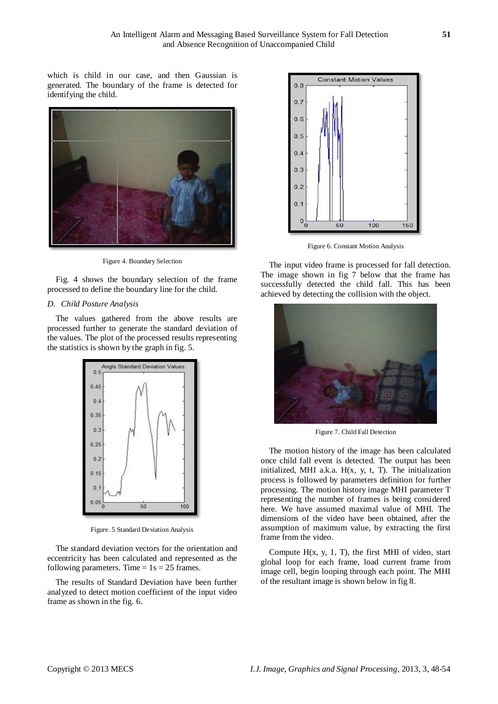which is child in our case, and then Gaussian is generated. The boundary of the frame is detected for identifying the child.



Figure 4. Boundary Selection

Fig. 4 shows the boundary selection of the frame processed to define the boundary line for the child.

### *D. Child Posture Analysis*

The values gathered from the above results are processed further to generate the standard deviation of the values. The plot of the processed results representing the statistics is shown by the graph in fig. 5.



Figure. 5 Standard Deviation Analysis

The standard deviation vectors for the orientation and eccentricity has been calculated and represented as the following parameters. Time  $= 1s = 25$  frames.

The results of Standard Deviation have been further analyzed to detect motion coefficient of the input video frame as shown in the fig. 6.



Figure 6. Constant Motion Analysis

The input video frame is processed for fall detection. The image shown in fig  $7$  below that the frame has successfully detected the child fall. This has been achieved by detecting the collision with the object.



Figure 7. Child Fall Detection

The motion history of the image has been calculated once child fall event is detected. The output has been initialized, MHI a.k.a. H(x, y, t, T). The initialization process is followed by parameters definition for further processing. The motion history image MHI parameter T representing the number of frames is being considered here. We have assumed maximal value of MHI. The dimensions of the video have been obtained, after the assumption of maximum value, by extracting the first frame from the video.

Compute  $H(x, y, 1, T)$ , the first MHI of video, start global loop for each frame, load current frame from image cell, begin looping through each point. The MHI of the resultant image is shown below in fig 8.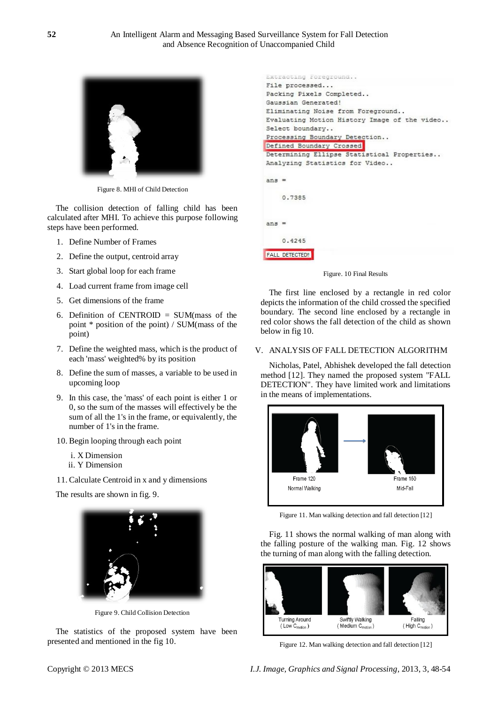

Figure 8. MHI of Child Detection

The collision detection of falling child has been calculated after MHI. To achieve this purpose following steps have been performed.

- 1. Define Number of Frames
- 2. Define the output, centroid array
- 3. Start global loop for each frame
- 4. Load current frame from image cell
- 5. Get dimensions of the frame
- 6. Definition of CENTROID =  $SUM(mass of the$ point \* position of the point) / SUM(mass of the point)
- 7. Define the weighted mass, which is the product of each 'mass' weighted% by its position
- 8. Define the sum of masses, a variable to be used in upcoming loop
- 9. In this case, the 'mass' of each point is either 1 or 0, so the sum of the masses will effectively be the sum of all the 1's in the frame, or equivalently, the number of 1's in the frame.
- 10. Begin looping through each point
	- i. X Dimension
	- ii. Y Dimension
- 11. Calculate Centroid in x and y dimensions

The results are shown in fig. 9.



Figure 9. Child Collision Detection

The statistics of the proposed system have been presented and mentioned in the fig 10.

| Extracting Foreground                        |
|----------------------------------------------|
| File processed                               |
| Packing Pixels Completed                     |
| Gaussian Generated!                          |
| Eliminating Noise from Foreground            |
| Evaluating Motion History Image of the video |
| Select boundary                              |
| Processing Boundary Detection                |
| Defined Boundary Crossed                     |
| Determining Ellipse Statistical Properties   |
| Analyzing Statistics for Video               |
|                                              |
| $ans =$                                      |
|                                              |
| 0.7385                                       |
|                                              |
|                                              |
| ans                                          |
|                                              |
| 0.4245                                       |
| <b>FALL DETECTED!</b>                        |
|                                              |

Figure. 10 Final Results

The first line enclosed by a rectangle in red color depicts the information of the child crossed the specified boundary. The second line enclosed by a rectangle in red color shows the fall detection of the child as shown below in fig 10.

#### V. ANALYSIS OF FALL DETECTION ALGORITHM

Nicholas, Patel, Abhishek developed the fall detection method [12]. They named the proposed system "FALL DETECTION". They have limited work and limitations in the means of implementations.



Figure 11. Man walking detection and fall detection [12]

Fig. 11 shows the normal walking of man along with the falling posture of the walking man. Fig. 12 shows the turning of man along with the falling detection.



Figure 12. Man walking detection and fall detection [12]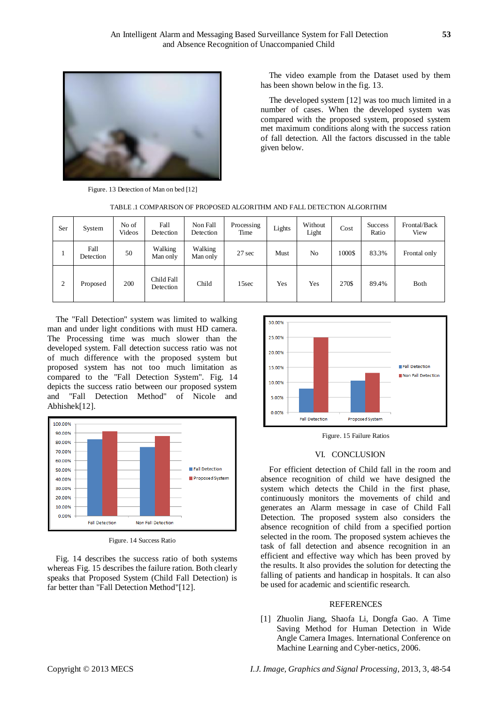

Figure. 13 Detection of Man on bed [12]

The video example from the Dataset used by them has been shown below in the fig. 13.

The developed system [12] was too much limited in a number of cases. When the developed system was compared with the proposed system, proposed system met maximum conditions along with the success ration of fall detection. All the factors discussed in the table given below.

|  | TABLE .1 COMPARISON OF PROPOSED ALGORITHM AND FALL DETECTION ALGORITHM |  |  |
|--|------------------------------------------------------------------------|--|--|
|  |                                                                        |  |  |

| Ser | System            | No of<br>Videos | Fall<br>Detection       | Non Fall<br>Detection | Processing<br>Time | Lights | Without<br>Light | Cost   | <b>Success</b><br>Ratio | Frontal/Back<br>View |
|-----|-------------------|-----------------|-------------------------|-----------------------|--------------------|--------|------------------|--------|-------------------------|----------------------|
|     | Fall<br>Detection | 50              | Walking<br>Man only     | Walking<br>Man only   | 27 sec             | Must   | N <sub>o</sub>   | 1000\$ | 83.3%                   | Frontal only         |
| 2   | Proposed          | 200             | Child Fall<br>Detection | Child                 | 15sec              | Yes    | Yes              | 270\$  | 89.4%                   | Both                 |

The "Fall Detection" system was limited to walking man and under light conditions with must HD camera. The Processing time was much slower than the developed system. Fall detection success ratio was not of much difference with the proposed system but proposed system has not too much limitation as compared to the "Fall Detection System". Fig. 14 depicts the success ratio between our proposed system and "Fall Detection Method" of Nicole and Abhishek[12].



Figure. 14 Success Ratio

Fig. 14 describes the success ratio of both systems whereas Fig. 15 describes the failure ration. Both clearly speaks that Proposed System (Child Fall Detection) is far better than "Fall Detection Method"[12].



Figure. 15 Failure Ratios

### VI. CONCLUSION

For efficient detection of Child fall in the room and absence recognition of child we have designed the system which detects the Child in the first phase, continuously monitors the movements of child and generates an Alarm message in case of Child Fall Detection. The proposed system also considers the absence recognition of child from a specified portion selected in the room. The proposed system achieves the task of fall detection and absence recognition in an efficient and effective way which has been proved by the results. It also provides the solution for detecting the falling of patients and handicap in hospitals. It can also be used for academic and scientific research.

### REFERENCES

[1] Zhuolin Jiang, Shaofa Li, Dongfa Gao. A Time Saving Method for Human Detection in Wide Angle Camera Images. International Conference on Machine Learning and Cyber-netics, 2006.